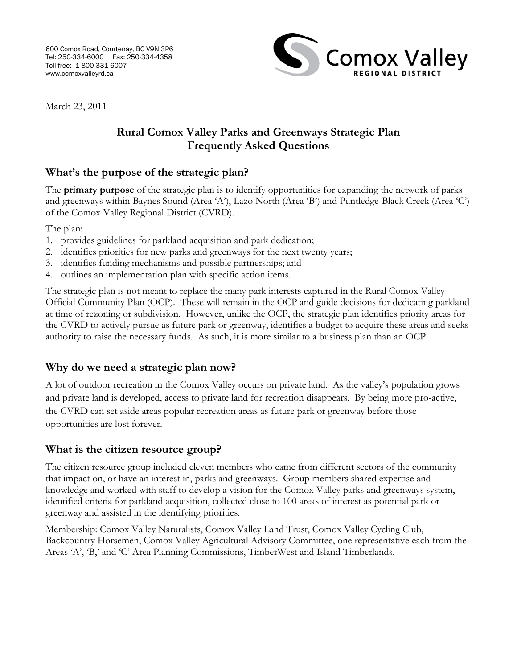

March 23, 2011

## **Rural Comox Valley Parks and Greenways Strategic Plan Frequently Asked Questions**

# **What's the purpose of the strategic plan?**

The **primary purpose** of the strategic plan is to identify opportunities for expanding the network of parks and greenways within Baynes Sound (Area 'A'), Lazo North (Area 'B') and Puntledge-Black Creek (Area 'C') of the Comox Valley Regional District (CVRD).

The plan:

- 1. provides guidelines for parkland acquisition and park dedication;
- 2. identifies priorities for new parks and greenways for the next twenty years;
- 3. identifies funding mechanisms and possible partnerships; and
- 4. outlines an implementation plan with specific action items.

The strategic plan is not meant to replace the many park interests captured in the Rural Comox Valley Official Community Plan (OCP). These will remain in the OCP and guide decisions for dedicating parkland at time of rezoning or subdivision. However, unlike the OCP, the strategic plan identifies priority areas for the CVRD to actively pursue as future park or greenway, identifies a budget to acquire these areas and seeks authority to raise the necessary funds. As such, it is more similar to a business plan than an OCP.

### **Why do we need a strategic plan now?**

A lot of outdoor recreation in the Comox Valley occurs on private land. As the valley's population grows and private land is developed, access to private land for recreation disappears. By being more pro-active, the CVRD can set aside areas popular recreation areas as future park or greenway before those opportunities are lost forever.

### **What is the citizen resource group?**

The citizen resource group included eleven members who came from different sectors of the community that impact on, or have an interest in, parks and greenways. Group members shared expertise and knowledge and worked with staff to develop a vision for the Comox Valley parks and greenways system, identified criteria for parkland acquisition, collected close to 100 areas of interest as potential park or greenway and assisted in the identifying priorities.

Membership: Comox Valley Naturalists, Comox Valley Land Trust, Comox Valley Cycling Club, Backcountry Horsemen, Comox Valley Agricultural Advisory Committee, one representative each from the Areas 'A', 'B,' and 'C' Area Planning Commissions, TimberWest and Island Timberlands.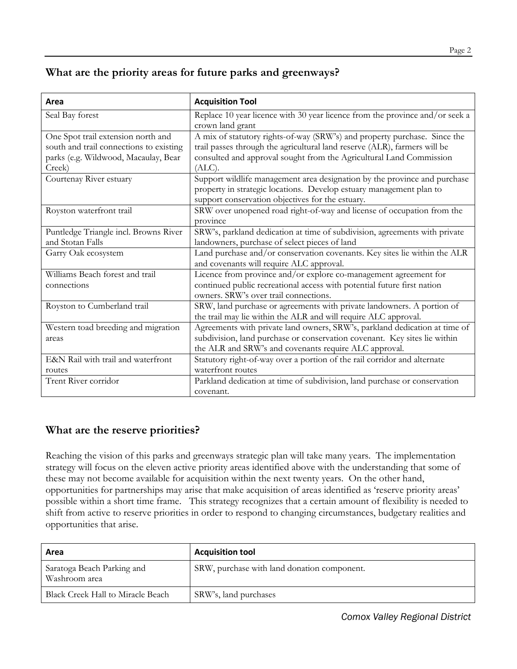# **What are the priority areas for future parks and greenways?**

| Area                                    | <b>Acquisition Tool</b>                                                      |
|-----------------------------------------|------------------------------------------------------------------------------|
| Seal Bay forest                         | Replace 10 year licence with 30 year licence from the province and/or seek a |
|                                         | crown land grant                                                             |
| One Spot trail extension north and      | A mix of statutory rights-of-way (SRW's) and property purchase. Since the    |
| south and trail connections to existing | trail passes through the agricultural land reserve (ALR), farmers will be    |
| parks (e.g. Wildwood, Macaulay, Bear    | consulted and approval sought from the Agricultural Land Commission          |
| Creek)                                  | $(ALC)$ .                                                                    |
| Courtenay River estuary                 | Support wildlife management area designation by the province and purchase    |
|                                         | property in strategic locations. Develop estuary management plan to          |
|                                         | support conservation objectives for the estuary.                             |
| Royston waterfront trail                | SRW over unopened road right-of-way and license of occupation from the       |
|                                         | province                                                                     |
| Puntledge Triangle incl. Browns River   | SRW's, parkland dedication at time of subdivision, agreements with private   |
| and Stotan Falls                        | landowners, purchase of select pieces of land                                |
| Garry Oak ecosystem                     | Land purchase and/or conservation covenants. Key sites lie within the ALR    |
|                                         | and covenants will require ALC approval.                                     |
| Williams Beach forest and trail         | Licence from province and/or explore co-management agreement for             |
| connections                             | continued public recreational access with potential future first nation      |
|                                         | owners. SRW's over trail connections.                                        |
| Royston to Cumberland trail             | SRW, land purchase or agreements with private landowners. A portion of       |
|                                         | the trail may lie within the ALR and will require ALC approval.              |
| Western toad breeding and migration     | Agreements with private land owners, SRW's, parkland dedication at time of   |
| areas                                   | subdivision, land purchase or conservation covenant. Key sites lie within    |
|                                         | the ALR and SRW's and covenants require ALC approval.                        |
| E&N Rail with trail and waterfront      | Statutory right-of-way over a portion of the rail corridor and alternate     |
| routes                                  | waterfront routes                                                            |
| Trent River corridor                    | Parkland dedication at time of subdivision, land purchase or conservation    |
|                                         | covenant.                                                                    |

## **What are the reserve priorities?**

Reaching the vision of this parks and greenways strategic plan will take many years. The implementation strategy will focus on the eleven active priority areas identified above with the understanding that some of these may not become available for acquisition within the next twenty years. On the other hand, opportunities for partnerships may arise that make acquisition of areas identified as 'reserve priority areas' possible within a short time frame. This strategy recognizes that a certain amount of flexibility is needed to shift from active to reserve priorities in order to respond to changing circumstances, budgetary realities and opportunities that arise.

| Area                                        | <b>Acquisition tool</b>                     |
|---------------------------------------------|---------------------------------------------|
| Saratoga Beach Parking and<br>Washroom area | SRW, purchase with land donation component. |
| <b>Black Creek Hall to Miracle Beach</b>    | SRW's, land purchases                       |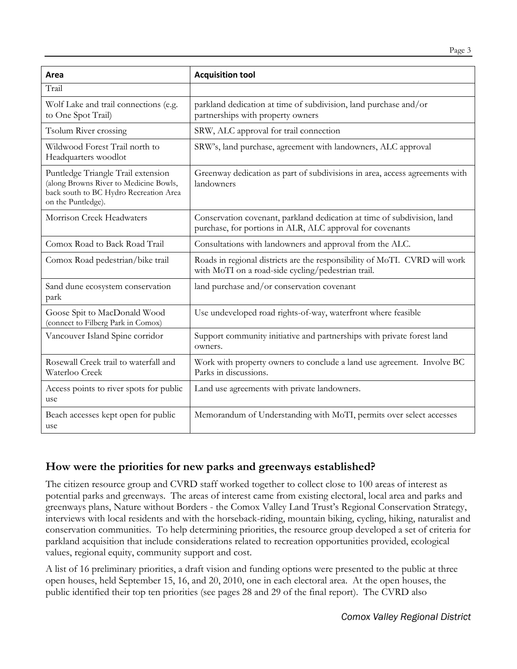| Area                                                                                                                                         | <b>Acquisition tool</b>                                                                                                              |
|----------------------------------------------------------------------------------------------------------------------------------------------|--------------------------------------------------------------------------------------------------------------------------------------|
| Trail                                                                                                                                        |                                                                                                                                      |
| Wolf Lake and trail connections (e.g.<br>to One Spot Trail)                                                                                  | parkland dedication at time of subdivision, land purchase and/or<br>partnerships with property owners                                |
| Tsolum River crossing                                                                                                                        | SRW, ALC approval for trail connection                                                                                               |
| Wildwood Forest Trail north to<br>Headquarters woodlot                                                                                       | SRW's, land purchase, agreement with landowners, ALC approval                                                                        |
| Puntledge Triangle Trail extension<br>(along Browns River to Medicine Bowls,<br>back south to BC Hydro Recreation Area<br>on the Puntledge). | Greenway dedication as part of subdivisions in area, access agreements with<br>landowners                                            |
| Morrison Creek Headwaters                                                                                                                    | Conservation covenant, parkland dedication at time of subdivision, land<br>purchase, for portions in ALR, ALC approval for covenants |
| Comox Road to Back Road Trail                                                                                                                | Consultations with landowners and approval from the ALC.                                                                             |
| Comox Road pedestrian/bike trail                                                                                                             | Roads in regional districts are the responsibility of MoTI. CVRD will work<br>with MoTI on a road-side cycling/pedestrian trail.     |
| Sand dune ecosystem conservation<br>park                                                                                                     | land purchase and/or conservation covenant                                                                                           |
| Goose Spit to MacDonald Wood<br>(connect to Filberg Park in Comox)                                                                           | Use undeveloped road rights-of-way, waterfront where feasible                                                                        |
| Vancouver Island Spine corridor                                                                                                              | Support community initiative and partnerships with private forest land<br>owners.                                                    |
| Rosewall Creek trail to waterfall and<br>Waterloo Creek                                                                                      | Work with property owners to conclude a land use agreement. Involve BC<br>Parks in discussions.                                      |
| Access points to river spots for public<br>use                                                                                               | Land use agreements with private landowners.                                                                                         |
| Beach accesses kept open for public<br>use                                                                                                   | Memorandum of Understanding with MoTI, permits over select accesses                                                                  |

# **How were the priorities for new parks and greenways established?**

The citizen resource group and CVRD staff worked together to collect close to 100 areas of interest as potential parks and greenways. The areas of interest came from existing electoral, local area and parks and greenways plans, Nature without Borders - the Comox Valley Land Trust's Regional Conservation Strategy, interviews with local residents and with the horseback-riding, mountain biking, cycling, hiking, naturalist and conservation communities. To help determining priorities, the resource group developed a set of criteria for parkland acquisition that include considerations related to recreation opportunities provided, ecological values, regional equity, community support and cost.

A list of 16 preliminary priorities, a draft vision and funding options were presented to the public at three open houses, held September 15, 16, and 20, 2010, one in each electoral area. At the open houses, the public identified their top ten priorities (see pages 28 and 29 of the final report). The CVRD also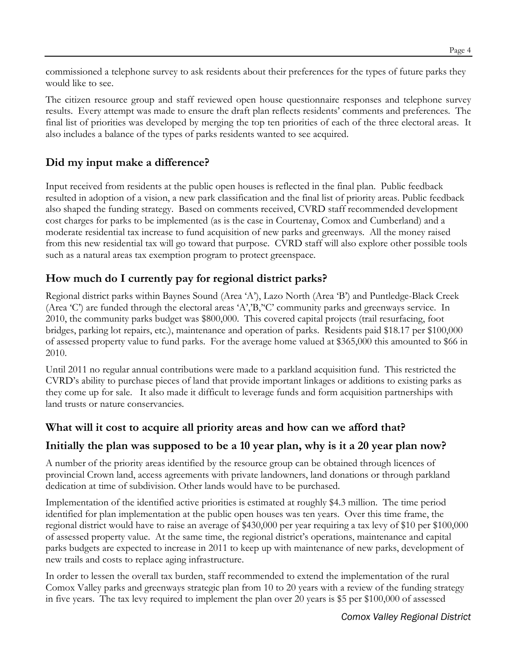commissioned a telephone survey to ask residents about their preferences for the types of future parks they would like to see.

The citizen resource group and staff reviewed open house questionnaire responses and telephone survey results. Every attempt was made to ensure the draft plan reflects residents' comments and preferences. The final list of priorities was developed by merging the top ten priorities of each of the three electoral areas. It also includes a balance of the types of parks residents wanted to see acquired.

# **Did my input make a difference?**

Input received from residents at the public open houses is reflected in the final plan. Public feedback resulted in adoption of a vision, a new park classification and the final list of priority areas. Public feedback also shaped the funding strategy. Based on comments received, CVRD staff recommended development cost charges for parks to be implemented (as is the case in Courtenay, Comox and Cumberland) and a moderate residential tax increase to fund acquisition of new parks and greenways. All the money raised from this new residential tax will go toward that purpose. CVRD staff will also explore other possible tools such as a natural areas tax exemption program to protect greenspace.

# **How much do I currently pay for regional district parks?**

Regional district parks within Baynes Sound (Area 'A'), Lazo North (Area 'B') and Puntledge-Black Creek (Area 'C') are funded through the electoral areas 'A','B,''C' community parks and greenways service. In 2010, the community parks budget was \$800,000. This covered capital projects (trail resurfacing, foot bridges, parking lot repairs, etc.), maintenance and operation of parks. Residents paid \$18.17 per \$100,000 of assessed property value to fund parks. For the average home valued at \$365,000 this amounted to \$66 in 2010.

Until 2011 no regular annual contributions were made to a parkland acquisition fund. This restricted the CVRD's ability to purchase pieces of land that provide important linkages or additions to existing parks as they come up for sale. It also made it difficult to leverage funds and form acquisition partnerships with land trusts or nature conservancies.

## **What will it cost to acquire all priority areas and how can we afford that?**

### **Initially the plan was supposed to be a 10 year plan, why is it a 20 year plan now?**

A number of the priority areas identified by the resource group can be obtained through licences of provincial Crown land, access agreements with private landowners, land donations or through parkland dedication at time of subdivision. Other lands would have to be purchased.

Implementation of the identified active priorities is estimated at roughly \$4.3 million. The time period identified for plan implementation at the public open houses was ten years. Over this time frame, the regional district would have to raise an average of \$430,000 per year requiring a tax levy of \$10 per \$100,000 of assessed property value. At the same time, the regional district's operations, maintenance and capital parks budgets are expected to increase in 2011 to keep up with maintenance of new parks, development of new trails and costs to replace aging infrastructure.

In order to lessen the overall tax burden, staff recommended to extend the implementation of the rural Comox Valley parks and greenways strategic plan from 10 to 20 years with a review of the funding strategy in five years. The tax levy required to implement the plan over 20 years is \$5 per \$100,000 of assessed